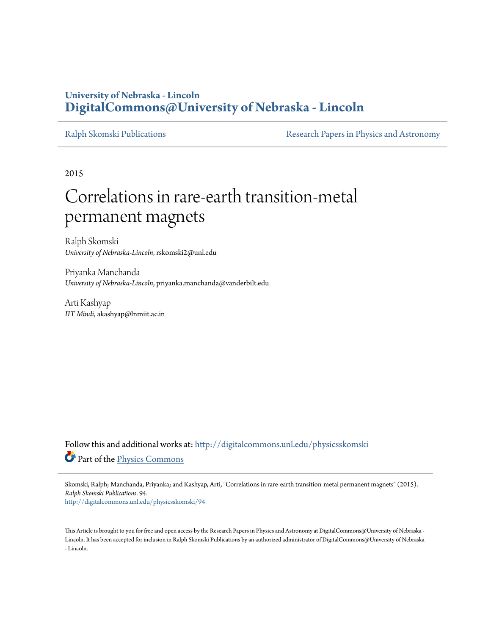# **University of Nebraska - Lincoln [DigitalCommons@University of Nebraska - Lincoln](http://digitalcommons.unl.edu?utm_source=digitalcommons.unl.edu%2Fphysicsskomski%2F94&utm_medium=PDF&utm_campaign=PDFCoverPages)**

[Ralph Skomski Publications](http://digitalcommons.unl.edu/physicsskomski?utm_source=digitalcommons.unl.edu%2Fphysicsskomski%2F94&utm_medium=PDF&utm_campaign=PDFCoverPages) **[Research Papers in Physics and Astronomy](http://digitalcommons.unl.edu/physicsresearch?utm_source=digitalcommons.unl.edu%2Fphysicsskomski%2F94&utm_medium=PDF&utm_campaign=PDFCoverPages)** 

2015

# Correlations in rare-earth transition-metal permanent magnets

Ralph Skomski *University of Nebraska-Lincoln*, rskomski2@unl.edu

Priyanka Manchanda *University of Nebraska-Lincoln*, priyanka.manchanda@vanderbilt.edu

Arti Kashyap *IIT Mindi*, akashyap@lnmiit.ac.in

Follow this and additional works at: [http://digitalcommons.unl.edu/physicsskomski](http://digitalcommons.unl.edu/physicsskomski?utm_source=digitalcommons.unl.edu%2Fphysicsskomski%2F94&utm_medium=PDF&utm_campaign=PDFCoverPages) Part of the [Physics Commons](http://network.bepress.com/hgg/discipline/193?utm_source=digitalcommons.unl.edu%2Fphysicsskomski%2F94&utm_medium=PDF&utm_campaign=PDFCoverPages)

Skomski, Ralph; Manchanda, Priyanka; and Kashyap, Arti, "Correlations in rare-earth transition-metal permanent magnets" (2015). *Ralph Skomski Publications*. 94.

[http://digitalcommons.unl.edu/physicsskomski/94](http://digitalcommons.unl.edu/physicsskomski/94?utm_source=digitalcommons.unl.edu%2Fphysicsskomski%2F94&utm_medium=PDF&utm_campaign=PDFCoverPages)

This Article is brought to you for free and open access by the Research Papers in Physics and Astronomy at DigitalCommons@University of Nebraska - Lincoln. It has been accepted for inclusion in Ralph Skomski Publications by an authorized administrator of DigitalCommons@University of Nebraska - Lincoln.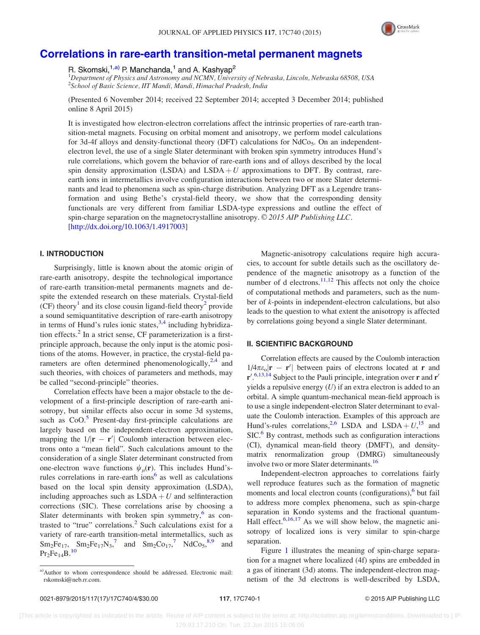

# <span id="page-1-0"></span>[Correlations in rare-earth transition-metal permanent magnets](http://dx.doi.org/10.1063/1.4917003)

R. Skomski,<sup>1,a)</sup> P. Manchanda,<sup>1</sup> and A. Kashyap<sup>2</sup>

<sup>1</sup>Department of Physics and Astronomy and NCMN, University of Nebraska, Lincoln, Nebraska 68508, USA 2 School of Basic Science, IIT Mandi, Mandi, Himachal Pradesh, India

(Presented 6 November 2014; received 22 September 2014; accepted 3 December 2014; published online 8 April 2015)

It is investigated how electron-electron correlations affect the intrinsic properties of rare-earth transition-metal magnets. Focusing on orbital moment and anisotropy, we perform model calculations for 3d-4f alloys and density-functional theory (DFT) calculations for  $NdCo<sub>5</sub>$ . On an independentelectron level, the use of a single Slater determinant with broken spin symmetry introduces Hund's rule correlations, which govern the behavior of rare-earth ions and of alloys described by the local spin density approximation (LSDA) and  $\text{LSDA} + U$  approximations to DFT. By contrast, rareearth ions in intermetallics involve configuration interactions between two or more Slater determinants and lead to phenomena such as spin-charge distribution. Analyzing DFT as a Legendre transformation and using Bethe's crystal-field theory, we show that the corresponding density functionals are very different from familiar LSDA-type expressions and outline the effect of spin-charge separation on the magnetocrystalline anisotropy.  $\odot$  2015 AIP Publishing LLC. [\[http://dx.doi.org/10.1063/1.4917003](http://dx.doi.org/10.1063/1.4917003)]

# I. INTRODUCTION

Surprisingly, little is known about the atomic origin of rare-earth anisotropy, despite the technological importance of rare-earth transition-metal permanents magnets and despite the extended research on these materials. Crystal-field (CF) theory<sup>[1](#page-4-0)</sup> and its close cousin ligand-field theory<sup>[2](#page-4-0)</sup> provide a sound semiquantitative description of rare-earth anisotropy in terms of Hund's rules ionic states,  $3,4$  including hybridiza-tion effects.<sup>[2](#page-4-0)</sup> In a strict sense, CF parameterization is a firstprinciple approach, because the only input is the atomic positions of the atoms. However, in practice, the crystal-field parameters are often determined phenomenologically, $2,4$  and such theories, with choices of parameters and methods, may be called "second-principle" theories.

Correlation effects have been a major obstacle to the development of a first-principle description of rare-earth anisotropy, but similar effects also occur in some 3d systems, such as  $CoO<sup>5</sup>$  $CoO<sup>5</sup>$  $CoO<sup>5</sup>$  Present-day first-principle calculations are largely based on the independent-electron approximation, mapping the  $1/|\mathbf{r} - \mathbf{r}'|$  Coulomb interaction between electrons onto a "mean field". Such calculations amount to the consideration of a single Slater determinant constructed from one-electron wave functions  $\psi_u(\mathbf{r})$ . This includes Hund'srules correlations in rare-earth ions<sup>6</sup> as well as calculations based on the local spin density approximation (LSDA), including approaches such as  $LSDA + U$  and selfinteraction corrections (SIC). These correlations arise by choosing a Slater determinants with broken spin symmetry, $6$  as contrasted to "true" correlations. $<sup>2</sup>$  $<sup>2</sup>$  $<sup>2</sup>$  Such calculations exist for a</sup> variety of rare-earth transition-metal intermetallics, such as  $Sm_2Fe_{17}$  $Sm_2Fe_{17}$  $Sm_2Fe_{17}$ ,  $Sm_2Fe_{17}N_3$ , and  $Sm_2Co_{17}$ ,  $NdCo_5$ ,  $s$ , and  $Pr_2Fe_{14}B.$ <sup>[10](#page-4-0)</sup>

Magnetic-anisotropy calculations require high accuracies, to account for subtle details such as the oscillatory dependence of the magnetic anisotropy as a function of the number of d electrons. $\frac{11,12}{1}$  $\frac{11,12}{1}$  $\frac{11,12}{1}$  This affects not only the choice of computational methods and parameters, such as the number of k-points in independent-electron calculations, but also leads to the question to what extent the anisotropy is affected by correlations going beyond a single Slater determinant.

#### II. SCIENTIFIC BACKGROUND

Correlation effects are caused by the Coulomb interaction  $1/4\pi\varepsilon_o|\mathbf{r} - \mathbf{r}'|$  between pairs of electrons located at **r** and  $r'.$ <sup>[6,13,14](#page-4-0)</sup> Subject to the Pauli principle, integration over r and r' yields a repulsive energy  $(U)$  if an extra electron is added to an orbital. A simple quantum-mechanical mean-field approach is to use a single independent-electron Slater determinant to evaluate the Coulomb interaction. Examples of this approach are Hund's-rules correlations,<sup>[2,6](#page-4-0)</sup> LSDA and LSDA +  $U$ ,<sup>[15](#page-4-0)</sup> and  $SIC<sup>6</sup>$  $SIC<sup>6</sup>$  $SIC<sup>6</sup>$  By contrast, methods such as configuration interactions (CI), dynamical mean-field theory (DMFT), and densitymatrix renormalization group (DMRG) simultaneously involve two or more Slater determinants.<sup>16</sup>

Independent-electron approaches to correlations fairly well reproduce features such as the formation of magnetic moments and local electron counts (configurations), $\delta$  but fail to address more complex phenomena, such as spin-charge separation in Kondo systems and the fractional quantum-Hall effect.  $6,16,17$  As we will show below, the magnetic anisotropy of localized ions is very similar to spin-charge separation.

Figure [1](#page-2-0) illustrates the meaning of spin-charge separation for a magnet where localized (4f) spins are embedded in a gas of itinerant (3d) atoms. The independent-electron magnetism of the 3d electrons is well-described by LSDA,

a)Author to whom correspondence should be addressed. Electronic mail: [rskomski@neb.rr.com.](mailto:rskomski@neb.rr.com)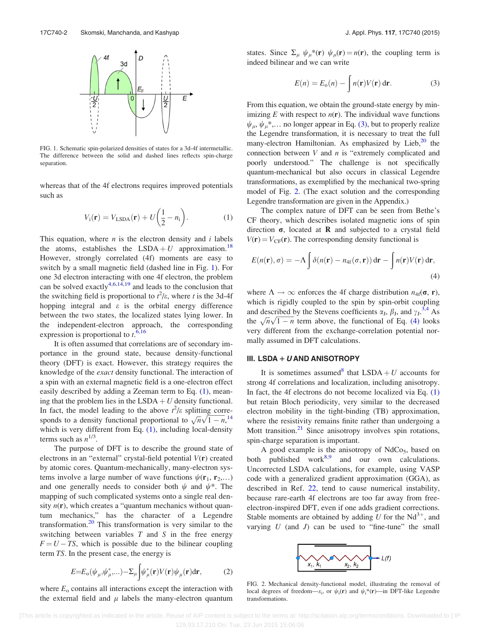<span id="page-2-0"></span>

FIG. 1. Schematic spin-polarized densities of states for a 3d-4f intermetallic. The difference between the solid and dashed lines reflects spin-charge separation.

whereas that of the 4f electrons requires improved potentials such as

$$
V_{\rm i}(\mathbf{r}) = V_{\rm LSDA}(\mathbf{r}) + U\left(\frac{1}{2} - n_{\rm i}\right). \tag{1}
$$

This equation, where  $n$  is the electron density and  $i$  labels the atoms, establishes the LSDA + U approximation.<sup>[18](#page-4-0)</sup> However, strongly correlated (4f) moments are easy to switch by a small magnetic field (dashed line in Fig. 1). For one 3d electron interacting with one 4f electron, the problem can be solved exactly<sup>[4,6,14,19](#page-4-0)</sup> and leads to the conclusion that the switching field is proportional to  $t^2/\varepsilon$ , where t is the 3d-4f hopping integral and  $\varepsilon$  is the orbital energy difference between the two states, the localized states lying lower. In the independent-electron approach, the corresponding expression is proportional to  $t$ .<sup>[6](#page-4-0),[16](#page-4-0)</sup>

It is often assumed that correlations are of secondary importance in the ground state, because density-functional theory (DFT) is exact. However, this strategy requires the knowledge of the exact density functional. The interaction of a spin with an external magnetic field is a one-electron effect easily described by adding a Zeeman term to Eq. (1), meaning that the problem lies in the LSDA  $+ U$  density functional. In fact, the model leading to the above  $t^2/\varepsilon$  splitting corre-In fact, the model leading to the above t  $j\epsilon$  spitting corresponds to a density functional proportional to  $\sqrt{n}\sqrt{1-n}$ ,<sup>[14](#page-4-0)</sup> which is very different from Eq.  $(1)$ , including local-density terms such as  $n^{1/3}$ .

The purpose of DFT is to describe the ground state of electrons in an "external" crystal-field potential  $V(\mathbf{r})$  created by atomic cores. Quantum-mechanically, many-electron systems involve a large number of wave functions  $\psi(\mathbf{r}_1, \mathbf{r}_2,...)$ and one generally needs to consider both  $\psi$  and  $\psi^*$ . The mapping of such complicated systems onto a single real density  $n(r)$ , which creates a "quantum mechanics without quantum mechanics," has the character of a Legendre transformation.<sup>[20](#page-4-0)</sup> This transformation is very similar to the switching between variables  $T$  and  $S$  in the free energy  $F = U - TS$ , which is possible due to the bilinear coupling term TS. In the present case, the energy is

$$
E=E_{\text{o}}(\psi_{\mu},\psi_{\mu}^*...)-\Sigma_{\mu}\int_{\mu}^{\mu}(\mathbf{r})V(\mathbf{r})\psi_{\mu}(\mathbf{r})d\mathbf{r},\qquad(2)
$$

where  $E_0$  contains all interactions except the interaction with the external field and  $\mu$  labels the many-electron quantum states. Since  $\Sigma_{\mu} \psi_{\mu}^*({\bf r}) \psi_{\mu}({\bf r}) = n({\bf r})$ , the coupling term is indeed bilinear and we can write

$$
E(n) = E_o(n) - \int n(\mathbf{r}) V(\mathbf{r}) \, \mathrm{d}\mathbf{r}.
$$
 (3)

From this equation, we obtain the ground-state energy by minimizing  $E$  with respect to  $n(r)$ . The individual wave functions  $\psi_{\mu}, \psi_{\mu}^*$ ,... no longer appear in Eq. (3), but to properly realize the Legendre transformation, it is necessary to treat the full many-electron Hamiltonian. As emphasized by Lieb, $20$  the connection between  $V$  and  $n$  is "extremely complicated and poorly understood." The challenge is not specifically quantum-mechanical but also occurs in classical Legendre transformations, as exemplified by the mechanical two-spring model of Fig. 2. (The exact solution and the corresponding Legendre transformation are given in the Appendix.)

The complex nature of DFT can be seen from Bethe's CF theory, which describes isolated magnetic ions of spin direction  $\sigma$ , located at **R** and subjected to a crystal field  $V(r) = V_{CF}(r)$ . The corresponding density functional is

$$
E(n(\mathbf{r}), \sigma) = -\Lambda \int \delta(n(\mathbf{r}) - n_{4\mathbf{f}}(\sigma, \mathbf{r})) \, d\mathbf{r} - \int n(\mathbf{r}) V(\mathbf{r}) \, d\mathbf{r},\tag{4}
$$

where  $\Lambda \to \infty$  enforces the 4f charge distribution  $n_{4f}(\sigma, r)$ , which is rigidly coupled to the spin by spin-orbit coupling and described by the Stevens coefficients  $\alpha_J$ ,  $\beta_J$ , and  $\gamma_J$ ,  $3.4$  As and described by the stevens coefficients  $\alpha_j$ ,  $\rho_j$ , and  $\gamma_j$ . As<br>the  $\sqrt{n}\sqrt{1-n}$  term above, the functional of Eq. (4) looks very different from the exchange-correlation potential normally assumed in DFT calculations.

## III. LSDA +  $U$  AND ANISOTROPY

It is sometimes assumed that  $LSDA + U$  accounts for strong 4f correlations and localization, including anisotropy. In fact, the 4f electrons do not become localized via Eq. (1) but retain Bloch periodicity, very similar to the decreased electron mobility in the tight-binding (TB) approximation, where the resistivity remains finite rather than undergoing a Mott transition. $2<sup>1</sup>$  Since anisotropy involves spin rotations, spin-charge separation is important.

A good example is the anisotropy of  $NdCo<sub>5</sub>$ , based on both published work $8.9$  and our own calculations. Uncorrected LSDA calculations, for example, using VASP code with a generalized gradient approximation (GGA), as described in Ref. [22](#page-4-0), tend to cause numerical instability, because rare-earth 4f electrons are too far away from freeelectron-inspired DFT, even if one adds gradient corrections. Stable moments are obtained by adding U for the  $Nd^{3+}$ , and varying  $U$  (and  $J$ ) can be used to "fine-tune" the small



FIG. 2. Mechanical density-functional model, illustrating the removal of local degrees of freedom— $x_i$ , or  $\psi_i(\mathbf{r})$  and  $\psi_i^*(\mathbf{r})$ —in DFT-like Legendre transformations.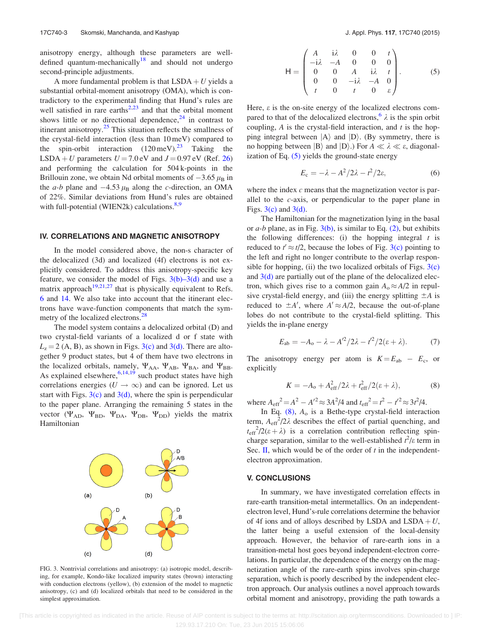anisotropy energy, although these parameters are well-defined quantum-mechanically<sup>[18](#page-4-0)</sup> and should not undergo second-principle adjustments.

A more fundamental problem is that  $LSDA + U$  yields a substantial orbital-moment anisotropy (OMA), which is contradictory to the experimental finding that Hund's rules are well satisfied in rare earths $2,23$  and that the orbital moment shows little or no directional dependence,  $24$  in contrast to itinerant anisotropy.<sup>[25](#page-4-0)</sup> This situation reflects the smallness of the crystal-field interaction (less than 10 meV) compared to the spin-orbit interaction  $(120 \,\text{meV})^{23}$  $(120 \,\text{meV})^{23}$  $(120 \,\text{meV})^{23}$  Taking the LSDA + U parameters  $U = 7.0$  eV and  $J = 0.97$  eV (Ref. [26\)](#page-4-0) and performing the calculation for 504 k-points in the Brillouin zone, we obtain Nd orbital moments of  $-3.65 \mu_{\rm B}$  in the *a-b* plane and  $-4.53 \mu_B$  along the *c*-direction, an OMA of 22%. Similar deviations from Hund's rules are obtained with full-potential (WIEN2k) calculations. $8,9$  $8,9$ 

#### IV. CORRELATIONS AND MAGNETIC ANISOTROPY

In the model considered above, the non-s character of the delocalized (3d) and localized (4f) electrons is not explicitly considered. To address this anisotropy-specific key feature, we consider the model of Figs.  $3(b)-3(d)$  and use a matrix approach<sup>[19,21,27](#page-4-0)</sup> that is physically equivalent to Refs. [6](#page-4-0) and [14.](#page-4-0) We also take into account that the itinerant electrons have wave-function components that match the sym-metry of the localized electrons.<sup>[28](#page-4-0)</sup>

The model system contains a delocalized orbital (D) and two crystal-field variants of a localized d or f state with  $L<sub>z</sub> = 2$  (A, B), as shown in Figs. 3(c) and 3(d). There are altogether 9 product states, but 4 of them have two electrons in the localized orbitals, namely,  $\Psi_{AA}$ ,  $\Psi_{AB}$ ,  $\Psi_{BA}$ , and  $\Psi_{BB}$ . As explained elsewhere,  $6,14,19$  such product states have high correlations energies ( $U \rightarrow \infty$ ) and can be ignored. Let us start with Figs.  $3(c)$  and  $3(d)$ , where the spin is perpendicular to the paper plane. Arranging the remaining 5 states in the vector ( $\Psi_{AD}$ ,  $\Psi_{BD}$ ,  $\Psi_{DA}$ ,  $\Psi_{DB}$ ,  $\Psi_{DD}$ ) yields the matrix Hamiltonian



FIG. 3. Nontrivial correlations and anisotropy: (a) isotropic model, describing, for example, Kondo-like localized impurity states (brown) interacting with conduction electrons (yellow), (b) extension of the model to magnetic anisotropy, (c) and (d) localized orbitals that need to be considered in the simplest approximation.

$$
\mathsf{H} = \begin{pmatrix} A & \mathbf{i}\lambda & 0 & 0 & t \\ -\mathbf{i}\lambda & -A & 0 & 0 & 0 \\ 0 & 0 & A & \mathbf{i}\lambda & t \\ 0 & 0 & -\mathbf{i}\lambda & -A & 0 \\ t & 0 & t & 0 & \varepsilon \end{pmatrix} . \tag{5}
$$

Here,  $\varepsilon$  is the on-site energy of the localized electrons com-pared to that of the delocalized electrons,<sup>[6](#page-4-0)</sup>  $\lambda$  is the spin orbit coupling,  $A$  is the crystal-field interaction, and  $t$  is the hopping integral between  $|A\rangle$  and  $|D\rangle$ . (By symmetry, there is no hopping between  $|B\rangle$  and  $|D\rangle$ .) For  $A \ll \lambda \ll \varepsilon$ , diagonalization of Eq. (5) yields the ground-state energy

$$
E_{\rm c} = -\lambda - A^2/2\lambda - t^2/2\varepsilon, \tag{6}
$$

where the index  $c$  means that the magnetization vector is parallel to the c-axis, or perpendicular to the paper plane in Figs.  $3(c)$  and  $3(d)$ .

The Hamiltonian for the magnetization lying in the basal or  $a-b$  plane, as in Fig. 3(b), is similar to Eq. [\(2\),](#page-2-0) but exhibits the following differences: (i) the hopping integral  $t$  is reduced to  $t' \approx t/2$ , because the lobes of Fig. 3(c) pointing to the left and right no longer contribute to the overlap responsible for hopping, (ii) the two localized orbitals of Figs.  $3(c)$ and  $3(d)$  are partially out of the plane of the delocalized electron, which gives rise to a common gain  $A_0 \approx A/2$  in repulsive crystal-field energy, and (iii) the energy splitting  $\pm A$  is reduced to  $\pm A'$ , where  $A' \approx A/2$ , because the out-of-plane lobes do not contribute to the crystal-field splitting. This yields the in-plane energy

$$
E_{ab} = -A_o - \lambda - A'^2/2\lambda - t'^2/2(\varepsilon + \lambda).
$$
 (7)

The anisotropy energy per atom is  $K = E_{ab} - E_c$ , or explicitly

$$
K = -A_{\rm o} + A_{\rm eff}^2/2\lambda + t_{\rm eff}^2/2(\varepsilon + \lambda),\tag{8}
$$

where  $A_{\text{eff}}^2 = A^2 - A'^2 \approx 3A^2/4$  and  $t_{\text{eff}}^2 = t^2 - t'^2 \approx 3t^2/4$ .

In Eq.  $(8)$ ,  $A_0$  is a Bethe-type crystal-field interaction term,  $A_{\text{eff}}^{2}/2\lambda$  describes the effect of partial quenching, and  $t_{\text{eff}}^{2}/2(\epsilon + \lambda)$  is a correlation contribution reflecting spincharge separation, similar to the well-established  $t^2$ / $\varepsilon$  term in Sec. [II,](#page-1-0) which would be of the order of  $t$  in the independentelectron approximation.

### V. CONCLUSIONS

In summary, we have investigated correlation effects in rare-earth transition-metal intermetallics. On an independentelectron level, Hund's-rule correlations determine the behavior of 4f ions and of alloys described by LSDA and  $LSDA + U$ , the latter being a useful extension of the local-density approach. However, the behavior of rare-earth ions in a transition-metal host goes beyond independent-electron correlations. In particular, the dependence of the energy on the magnetization angle of the rare-earth spins involves spin-charge separation, which is poorly described by the independent electron approach. Our analysis outlines a novel approach towards orbital moment and anisotropy, providing the path towards a

 <sup>[</sup>This article is copyrighted as indicated in the article. Reuse of AIP content is subject to the terms at: http://scitation.aip.org/termsconditions. Downloaded to ] IP: 129.93.17.210 On: Tue, 23 Jun 2015 15:06:06